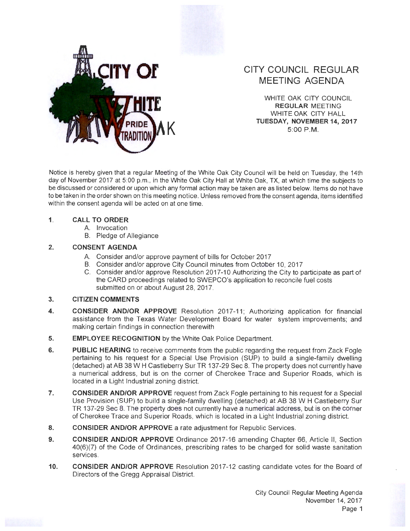

# **CITY COUNCIL REGULAR MEETING AGENDA**

WHITE OAK CITY COUNCIL **REGULAR** MEETING WHITE OAK CITY HALL **K TUESDAY, NOVEMBER14,2017**  5:00 P.M.

Notice is hereby given that a regular Meeting of the White Oak City Council will be held on Tuesday, the 14th day of November 2017 at 5:00 p.m., in the White Oak City Hall at White Oak, TX, at which time the subjects to be discussed or considered or upon which any formal action may be taken are as listed below. Items do not have to be taken in the order shown on this meeting notice. Unless removed from the consent agenda, items identified within the consent agenda will be acted on at one time.

### **1. CALL TO ORDER**

- A. Invocation
- B. Pledge of Allegiance

## **2. CONSENT AGENDA**

- A. Consider and/or approve payment of bills for October 2017
- B. Consider and/or approve City Council minutes from October 10, 2017
- C. Consider and/or approve Resolution 2017-10 Authorizing the City to participate as part of the CARD proceedings related to SWEPCO's application to reconcile fuel costs submitted on or about August 28, 2017.

#### **3. CITIZEN COMMENTS**

- **4. CONSIDER AND/OR APPROVE** Resolution 2017-11 ; Authorizing application for financial assistance from the Texas Water Development Board for water system improvements; and making certain findings in connection therewith
- **5. EMPLOYEE RECOGNITION** by the White Oak Police Department.
- **6. PUBLIC HEARING** to receive comments from the public regarding the request from Zack Fogle pertaining to his request for a Special Use Provision (SUP) to build a single-family dwelling (detached) at AB 38 W H Castleberry Sur TR 137-29 Sec 8. The property does not currently have a numerical address, but is on the corner of Cherokee Trace and Superior Roads, which is located in a Light Industrial zoning district.
- **7. CONSIDER AND/OR APPROVE** request from Zack Fogle pertaining to his request for a Special Use Provision (SUP) to build a single-family dwelling (detached) at AB 38 W H Castleberry Sur TR 137-29 Sec 8. The property does not currently have a numerical address, but is on the corner of Cherokee Trace and Superior Roads, which is located in a Light Industrial zoning district.
- **8. CONSIDER AND/OR APPROVE** a rate adjustment for Republic Services.
- **9. CONSIDER AND/OR APPROVE** Ordinance 2017-16 amending Chapter 66, Article II, Section 40(6)(7) of the Code of Ordinances, prescribing rates to be charged for solid waste sanitation services.
- **10. CONSIDER AND/OR APPROVE** Resolution 2017-12 casting candidate votes for the Board of Directors of the Gregg Appraisal District.